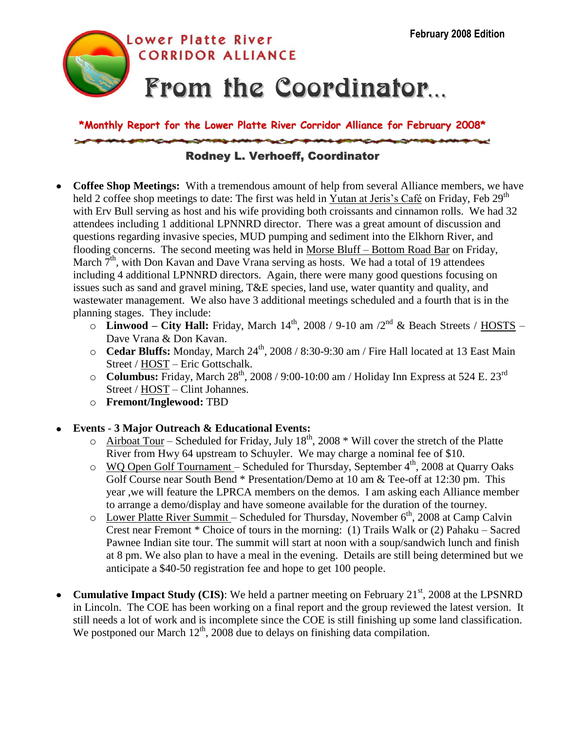

**\*Monthly Report for the Lower Platte River Corridor Alliance for February 2008\***

## Rodney L. Verhoeff, Coordinator

- **Coffee Shop Meetings:** With a tremendous amount of help from several Alliance members, we have  $\bullet$ held 2 coffee shop meetings to date: The first was held in Yutan at Jeris's Café on Friday, Feb 29<sup>th</sup> with Erv Bull serving as host and his wife providing both croissants and cinnamon rolls. We had 32 attendees including 1 additional LPNNRD director. There was a great amount of discussion and questions regarding invasive species, MUD pumping and sediment into the Elkhorn River, and flooding concerns. The second meeting was held in Morse Bluff – Bottom Road Bar on Friday, March  $7<sup>th</sup>$ , with Don Kavan and Dave Vrana serving as hosts. We had a total of 19 attendees including 4 additional LPNNRD directors. Again, there were many good questions focusing on issues such as sand and gravel mining, T&E species, land use, water quantity and quality, and wastewater management. We also have 3 additional meetings scheduled and a fourth that is in the planning stages. They include:
	- $\overline{\text{C}}$  **Linwood City Hall:** Friday, March 14<sup>th</sup>, 2008 / 9-10 am /2<sup>nd</sup> & Beach Streets / HOSTS Dave Vrana & Don Kavan.
	- o **Cedar Bluffs:** Monday, March 24<sup>th</sup>, 2008 / 8:30-9:30 am / Fire Hall located at 13 East Main Street / HOST – Eric Gottschalk.
	- o **Columbus:** Friday, March 28<sup>th</sup>, 2008 / 9:00-10:00 am / Holiday Inn Express at 524 E. 23<sup>rd</sup> Street / HOST – Clint Johannes.
	- o **Fremont/Inglewood:** TBD
- **Events 3 Major Outreach & Educational Events:**
	- $\circ$  Airboat Tour Scheduled for Friday, July 18<sup>th</sup>, 2008 \* Will cover the stretch of the Platte River from Hwy 64 upstream to Schuyler. We may charge a nominal fee of \$10.
	- $\circ$  WQ Open Golf Tournament Scheduled for Thursday, September 4<sup>th</sup>, 2008 at Quarry Oaks Golf Course near South Bend \* Presentation/Demo at 10 am & Tee-off at 12:30 pm. This year ,we will feature the LPRCA members on the demos. I am asking each Alliance member to arrange a demo/display and have someone available for the duration of the tourney.
	- $\circ$  Lower Platte River Summit Scheduled for Thursday, November  $6<sup>th</sup>$ , 2008 at Camp Calvin Crest near Fremont \* Choice of tours in the morning: (1) Trails Walk or (2) Pahaku – Sacred Pawnee Indian site tour. The summit will start at noon with a soup/sandwich lunch and finish at 8 pm. We also plan to have a meal in the evening. Details are still being determined but we anticipate a \$40-50 registration fee and hope to get 100 people.
- **Cumulative Impact Study (CIS):** We held a partner meeting on February 21<sup>st</sup>, 2008 at the LPSNRD  $\bullet$ in Lincoln. The COE has been working on a final report and the group reviewed the latest version. It still needs a lot of work and is incomplete since the COE is still finishing up some land classification. We postponed our March  $12<sup>th</sup>$ , 2008 due to delays on finishing data compilation.